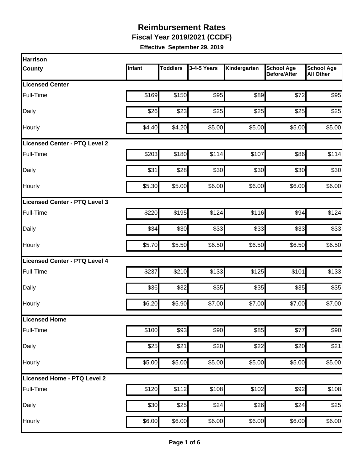**Fiscal Year 2019/2021 (CCDF)**

| Harrison                             |        |                 |             |              |                                          |                                       |
|--------------------------------------|--------|-----------------|-------------|--------------|------------------------------------------|---------------------------------------|
| <b>County</b>                        | Infant | <b>Toddlers</b> | 3-4-5 Years | Kindergarten | <b>School Age</b><br><b>Before/After</b> | <b>School Age</b><br><b>All Other</b> |
| <b>Licensed Center</b>               |        |                 |             |              |                                          |                                       |
| Full-Time                            | \$169  | \$150           | \$95        | \$89         | \$72                                     | \$95                                  |
| Daily                                | \$26   | \$23            | \$25        | \$25         | \$25                                     | \$25                                  |
| Hourly                               | \$4.40 | \$4.20          | \$5.00      | \$5.00       | \$5.00                                   | \$5.00                                |
| <b>Licensed Center - PTQ Level 2</b> |        |                 |             |              |                                          |                                       |
| Full-Time                            | \$203  | \$180           | \$114       | \$107        | \$86                                     | \$114                                 |
| Daily                                | \$31   | \$28            | \$30        | \$30         | \$30                                     | \$30                                  |
| Hourly                               | \$5.30 | \$5.00          | \$6.00      | \$6.00       | \$6.00                                   | \$6.00                                |
| Licensed Center - PTQ Level 3        |        |                 |             |              |                                          |                                       |
| Full-Time                            | \$220  | \$195           | \$124       | \$116        | \$94                                     | \$124                                 |
| Daily                                | \$34   | \$30            | \$33        | \$33         | \$33                                     | \$33                                  |
| Hourly                               | \$5.70 | \$5.50          | \$6.50      | \$6.50       | \$6.50                                   | \$6.50                                |
| <b>Licensed Center - PTQ Level 4</b> |        |                 |             |              |                                          |                                       |
| Full-Time                            | \$237  | \$210           | \$133       | \$125        | \$101                                    | \$133                                 |
| Daily                                | \$36   | \$32            | \$35        | \$35         | \$35                                     | \$35                                  |
| Hourly                               | \$6.20 | \$5.90          | \$7.00      | \$7.00       | \$7.00                                   | \$7.00                                |
| Licensed Home                        |        |                 |             |              |                                          |                                       |
| Full-Time                            | \$100  | \$93            | \$90        | \$85         | \$77                                     | \$90                                  |
| Daily                                | \$25   | \$21            | \$20        | \$22         | \$20                                     | \$21                                  |
| Hourly                               | \$5.00 | \$5.00          | \$5.00      | \$5.00       | \$5.00                                   | \$5.00                                |
| Licensed Home - PTQ Level 2          |        |                 |             |              |                                          |                                       |
| Full-Time                            | \$120  | \$112           | \$108       | \$102        | \$92                                     | \$108                                 |
| Daily                                | \$30   | \$25            | \$24        | \$26         | \$24                                     | \$25                                  |
| Hourly                               | \$6.00 | \$6.00          | \$6.00      | \$6.00       | \$6.00                                   | \$6.00                                |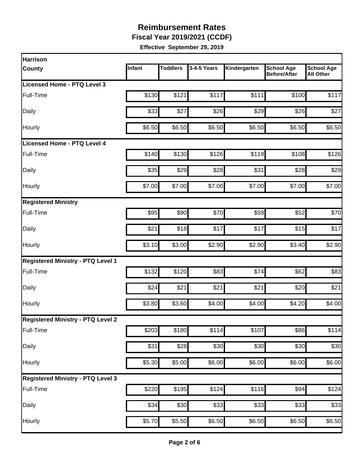**Fiscal Year 2019/2021 (CCDF)**

| <b>Harrison</b>                          |        |                 |             |                    |                                          |                                       |
|------------------------------------------|--------|-----------------|-------------|--------------------|------------------------------------------|---------------------------------------|
| County                                   | Infant | <b>Toddlers</b> | 3-4-5 Years | Kindergarten       | <b>School Age</b><br><b>Before/After</b> | <b>School Age</b><br><b>All Other</b> |
| <b>Licensed Home - PTQ Level 3</b>       |        |                 |             |                    |                                          |                                       |
| Full-Time                                | \$130  | \$121           | \$117       | \$111              | \$100                                    | \$117                                 |
| Daily                                    | \$33   | \$27            | \$26        | \$29               | \$26                                     | \$27                                  |
| Hourly                                   | \$6.50 | \$6.50          | \$6.50      | \$6.50             | \$6.50                                   | \$6.50                                |
| Licensed Home - PTQ Level 4              |        |                 |             |                    |                                          |                                       |
| Full-Time                                | \$140  | \$130           | \$126       | \$119              | \$108                                    | \$126                                 |
| Daily                                    | \$35   | \$29            | \$28        | \$31               | \$28                                     | \$29                                  |
| Hourly                                   | \$7.00 | \$7.00          | \$7.00      | \$7.00             | \$7.00                                   | \$7.00                                |
| <b>Registered Ministry</b>               |        |                 |             |                    |                                          |                                       |
| Full-Time                                | \$95   | \$90            | \$70        | \$59               | \$52                                     | \$70                                  |
| Daily                                    | \$21   | \$18            | \$17        | \$17               | \$15                                     | \$17                                  |
| Hourly                                   | \$3.10 | \$3.00          | \$2.90      | \$2.90             | \$3.40                                   | \$2.90                                |
| <b>Registered Ministry - PTQ Level 1</b> |        |                 |             |                    |                                          |                                       |
| Full-Time                                | \$132  | \$120           | \$83        | \$74               | \$62                                     | \$83                                  |
| Daily                                    | \$24   | \$21            | \$21        | \$21               | \$20                                     | \$21                                  |
| Hourly                                   | \$3.80 | \$3.60          | \$4.00      | \$4.00             | \$4.20                                   | \$4.00                                |
| <b>Registered Ministry - PTQ Level 2</b> |        |                 |             |                    |                                          |                                       |
| Full-Time                                | \$203  | \$180           | \$114       | \$107              | \$86                                     | \$114                                 |
| Daily                                    | \$31   | \$28            | \$30        | \$30               | \$30                                     | \$30                                  |
| Hourly                                   | \$5.30 | \$5.00          | \$6.00      | \$6.00             | \$6.00                                   | \$6.00                                |
| <b>Registered Ministry - PTQ Level 3</b> |        |                 |             |                    |                                          |                                       |
| Full-Time                                | \$220  | \$195           | \$124       | \$116              | \$94                                     | \$124                                 |
| Daily                                    | \$34   | \$30            | \$33        | \$33               | \$33                                     | \$33                                  |
| Hourly                                   | \$5.70 | \$5.50          | \$6.50      | $\overline{$6.50}$ | \$6.50                                   | \$6.50                                |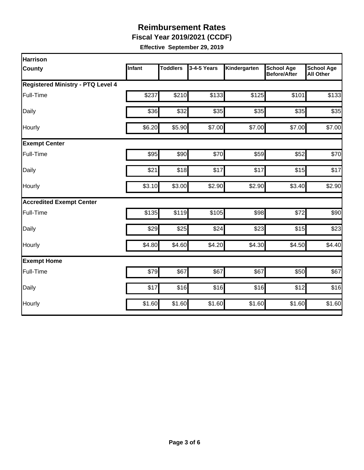**Fiscal Year 2019/2021 (CCDF)**

| <b>Harrison</b>                          |        |                 |             |              |                                          |                                       |
|------------------------------------------|--------|-----------------|-------------|--------------|------------------------------------------|---------------------------------------|
| County                                   | Infant | <b>Toddlers</b> | 3-4-5 Years | Kindergarten | <b>School Age</b><br><b>Before/After</b> | <b>School Age</b><br><b>All Other</b> |
| <b>Registered Ministry - PTQ Level 4</b> |        |                 |             |              |                                          |                                       |
| Full-Time                                | \$237  | \$210           | \$133       | \$125        | \$101                                    | \$133                                 |
| Daily                                    | \$36   | \$32            | \$35        | \$35         | \$35                                     | \$35                                  |
| Hourly                                   | \$6.20 | \$5.90          | \$7.00      | \$7.00       | \$7.00                                   | \$7.00                                |
| <b>Exempt Center</b>                     |        |                 |             |              |                                          |                                       |
| Full-Time                                | \$95   | \$90            | \$70        | \$59         | \$52                                     | \$70                                  |
| Daily                                    | \$21   | \$18            | \$17        | \$17         | \$15                                     | \$17                                  |
| Hourly                                   | \$3.10 | \$3.00          | \$2.90      | \$2.90       | \$3.40                                   | \$2.90                                |
| <b>Accredited Exempt Center</b>          |        |                 |             |              |                                          |                                       |
| Full-Time                                | \$135  | \$119           | \$105       | \$98         | \$72                                     | \$90                                  |
| Daily                                    | \$29   | \$25            | \$24        | \$23         | \$15                                     | \$23                                  |
| Hourly                                   | \$4.80 | \$4.60          | \$4.20      | \$4.30       | \$4.50                                   | \$4.40                                |
| <b>Exempt Home</b>                       |        |                 |             |              |                                          |                                       |
| Full-Time                                | \$79   | \$67            | \$67        | \$67         | \$50                                     | \$67                                  |
| Daily                                    | \$17   | \$16            | \$16        | \$16         | \$12                                     | \$16                                  |
| Hourly                                   | \$1.60 | \$1.60          | \$1.60      | \$1.60       | \$1.60                                   | \$1.60                                |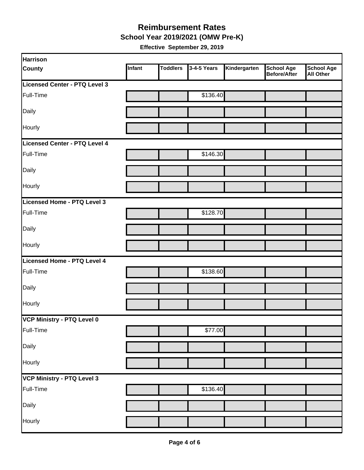#### **School Year 2019/2021 (OMW Pre-K) Reimbursement Rates**

| Harrison                      |        |                 |             |              |                                          |                         |
|-------------------------------|--------|-----------------|-------------|--------------|------------------------------------------|-------------------------|
| <b>County</b>                 | Infant | <b>Toddlers</b> | 3-4-5 Years | Kindergarten | <b>School Age</b><br><b>Before/After</b> | School Age<br>All Other |
| Licensed Center - PTQ Level 3 |        |                 |             |              |                                          |                         |
| Full-Time                     |        |                 | \$136.40    |              |                                          |                         |
| Daily                         |        |                 |             |              |                                          |                         |
| Hourly                        |        |                 |             |              |                                          |                         |
| Licensed Center - PTQ Level 4 |        |                 |             |              |                                          |                         |
| Full-Time                     |        |                 | \$146.30    |              |                                          |                         |
| Daily                         |        |                 |             |              |                                          |                         |
| Hourly                        |        |                 |             |              |                                          |                         |
| Licensed Home - PTQ Level 3   |        |                 |             |              |                                          |                         |
| Full-Time                     |        |                 | \$128.70    |              |                                          |                         |
| Daily                         |        |                 |             |              |                                          |                         |
| Hourly                        |        |                 |             |              |                                          |                         |
| Licensed Home - PTQ Level 4   |        |                 |             |              |                                          |                         |
| Full-Time                     |        |                 | \$138.60    |              |                                          |                         |
| Daily                         |        |                 |             |              |                                          |                         |
| Hourly                        |        |                 |             |              |                                          |                         |
| VCP Ministry - PTQ Level 0    |        |                 |             |              |                                          |                         |
| Full-Time                     |        |                 | \$77.00     |              |                                          |                         |
| Daily                         |        |                 |             |              |                                          |                         |
| Hourly                        |        |                 |             |              |                                          |                         |
| VCP Ministry - PTQ Level 3    |        |                 |             |              |                                          |                         |
| Full-Time                     |        |                 | \$136.40    |              |                                          |                         |
| Daily                         |        |                 |             |              |                                          |                         |
| Hourly                        |        |                 |             |              |                                          |                         |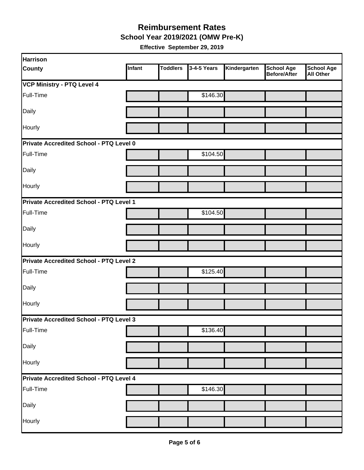**School Year 2019/2021 (OMW Pre-K)**

| <b>Harrison</b>                         |        |                 |             |              |                                          |                                       |
|-----------------------------------------|--------|-----------------|-------------|--------------|------------------------------------------|---------------------------------------|
| <b>County</b>                           | Infant | <b>Toddlers</b> | 3-4-5 Years | Kindergarten | <b>School Age</b><br><b>Before/After</b> | <b>School Age</b><br><b>All Other</b> |
| <b>VCP Ministry - PTQ Level 4</b>       |        |                 |             |              |                                          |                                       |
| Full-Time                               |        |                 | \$146.30    |              |                                          |                                       |
| Daily                                   |        |                 |             |              |                                          |                                       |
| Hourly                                  |        |                 |             |              |                                          |                                       |
| Private Accredited School - PTQ Level 0 |        |                 |             |              |                                          |                                       |
| Full-Time                               |        |                 | \$104.50    |              |                                          |                                       |
| Daily                                   |        |                 |             |              |                                          |                                       |
| Hourly                                  |        |                 |             |              |                                          |                                       |
| Private Accredited School - PTQ Level 1 |        |                 |             |              |                                          |                                       |
| Full-Time                               |        |                 | \$104.50    |              |                                          |                                       |
| Daily                                   |        |                 |             |              |                                          |                                       |
| Hourly                                  |        |                 |             |              |                                          |                                       |
| Private Accredited School - PTQ Level 2 |        |                 |             |              |                                          |                                       |
| Full-Time                               |        |                 | \$125.40    |              |                                          |                                       |
| Daily                                   |        |                 |             |              |                                          |                                       |
| Hourly                                  |        |                 |             |              |                                          |                                       |
| Private Accredited School - PTQ Level 3 |        |                 |             |              |                                          |                                       |
| Full-Time                               |        |                 | \$136.40    |              |                                          |                                       |
| Daily                                   |        |                 |             |              |                                          |                                       |
| Hourly                                  |        |                 |             |              |                                          |                                       |
| Private Accredited School - PTQ Level 4 |        |                 |             |              |                                          |                                       |
| Full-Time                               |        |                 | \$146.30    |              |                                          |                                       |
| Daily                                   |        |                 |             |              |                                          |                                       |
| Hourly                                  |        |                 |             |              |                                          |                                       |